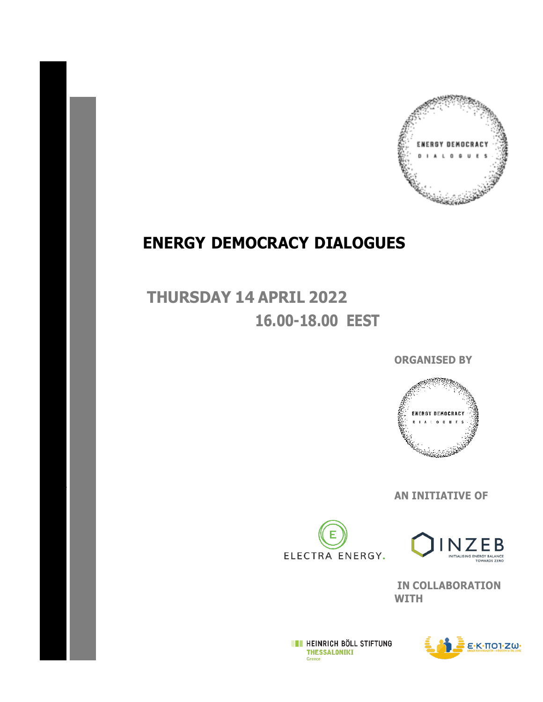

## **ENERGY DEMOCRACY DIALOGUES**

**THURSDAY 14 APRIL 2022 16.00-18.00 EEST**

**\**

**ORGANISED BY**



**AN INITIATIVE OF**





 **IN COLLABORATION WITH**

**EXECUTE HEINRICH BÖLL STIFTUNG THESSALONIKI** Greece

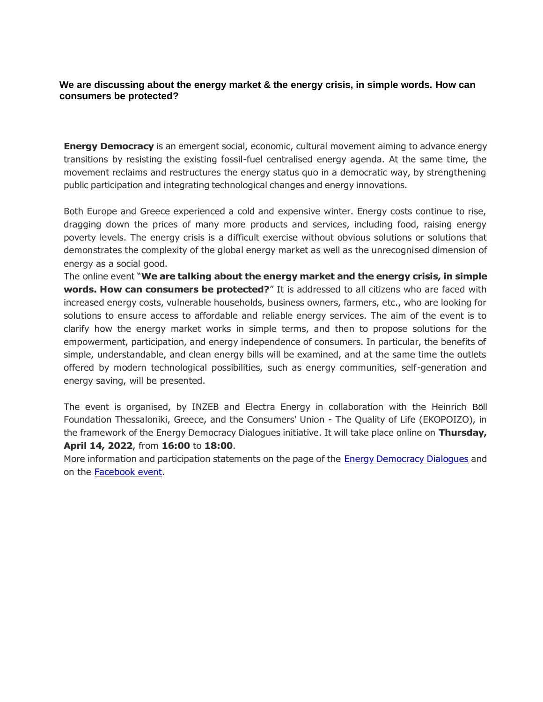## **We are discussing about the energy market & the energy crisis, in simple words. How can consumers be protected?**

**Energy Democracy** is an emergent social, economic, cultural movement aiming to advance energy transitions by resisting the existing fossil-fuel centralised energy agenda. At the same time, the movement reclaims and restructures the energy status quo in a democratic way, by strengthening public participation and integrating technological changes and energy innovations.

Both Europe and Greece experienced a cold and expensive winter. Energy costs continue to rise, dragging down the prices of many more products and services, including food, raising energy poverty levels. The energy crisis is a difficult exercise without obvious solutions or solutions that demonstrates the complexity of the global energy market as well as the unrecognised dimension of energy as a social good.

The online event "**We are talking about the energy market and the energy crisis, in simple words. How can consumers be protected?**" It is addressed to all citizens who are faced with increased energy costs, vulnerable households, business owners, farmers, etc., who are looking for solutions to ensure access to affordable and reliable energy services. The aim of the event is to clarify how the energy market works in simple terms, and then to propose solutions for the empowerment, participation, and energy independence of consumers. In particular, the benefits of simple, understandable, and clean energy bills will be examined, and at the same time the outlets offered by modern technological possibilities, such as energy communities, self-generation and energy saving, will be presented.

The event is organised, by INZEB and Electra Energy in collaboration with the Heinrich Böll Foundation Thessaloniki, Greece, and the Consumers' Union - The Quality of Life (EKOPOIZO), in the framework of the Energy Democracy Dialogues initiative. It will take place online on **Thursday, April 14, 2022**, from **16:00** to **18:00**.

More information and participation statements on the page of the [Energy Democracy Dialogues](https://www.energy-democracy-dialogues.org/energy-democracy-dialogues) and on the [Facebook event.](https://www.facebook.com/events/4958434824225579/?acontext=%7B%22event_action_history%22%3A%5b%7B%22extra_data%22%3A%22%22%2C%22mechanism%22%3A%22unknown%22%2C%22surface%22%3A%22page%22%7D%2C%7B%22extra_data%22%3A%22%22%2C%22mechanism%22%3A%22page_upcoming_events_card%22%2C%22surface%22%3A%22page%22%7D%2C%7B%22extra_data%22%3A%22%22%2C%22mechanism%22%3A%22surface%22%2C%22surface%22%3A%22create_dialog%22%7D%5d%2C%22ref_notif_type%22%3Anull%7D&onload_action=online_event_upsell_dialog)